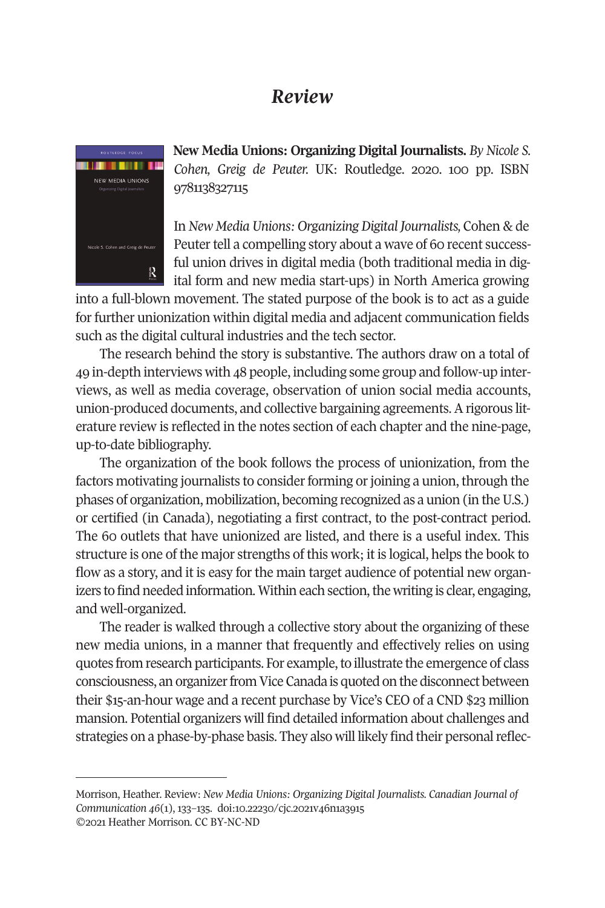## *Review*



**New Media Unions: Organizing Digital Journalists.** *By Nicole S. Cohen, Greig de Peuter.* UK: Routledge. 2020. 100 pp. ISBN 9781138327115

In *New Media Unions: Organizing Digital Journalists,* Cohen & de Peuter tell a compelling story about a wave of 60 recent successful union drives in digital media (both traditional media in digital form and new media start-ups) in North America growing

into a full-blown movement. The stated purpose of the book is to act as a guide for further unionization within digital media and adjacent communication fields such as the digital cultural industries and the tech sector.

The research behind the story is substantive. The authors draw on a total of 49 in-depth interviews with 48 people, including some group and follow-up interviews, as well as media coverage, observation of union social media accounts, union-produced documents, and collective bargaining agreements. A rigorous literature review is reflected in the notes section of each chapter and the nine-page, up-to-date bibliography.

The organization of the book follows the process of unionization, from the factors motivating journalists to consider forming or joining a union, through the phases of organization, mobilization, becoming recognized as a union (in the U.S.) or certified (in Canada), negotiating a first contract, to the post-contract period. The 60 outlets that have unionized are listed, and there is a useful index. This structure is one of the major strengths of this work; it is logical, helps the book to flow as a story, and it is easy for the main target audience of potential new organizers to find needed information. Within each section, the writing is clear, engaging, and well-organized.

The reader is walked through a collective story about the organizing of these new media unions, in a manner that frequently and effectively relies on using quotes from research participants. For example, to illustrate the emergence of class consciousness, an organizer from Vice Canada is quoted on the disconnect between their \$15-an-hour wage and a recent purchase by Vice's CEO of a CND \$23 million mansion. Potential organizers will find detailed information about challenges and strategies on a phase-by-phase basis. They also will likely find their personal reflec-

Morrison, Heather. Review: *New Media Unions: Organizing Digital Journalists. [Canadian Journal of](http://www.cjc-online.ca)  [Communication](http://www.cjc-online.ca) 46*(1), 133–135. doi[:10.22230/cjc.2021v46n1a3915](http://doi.org/10.22230/cjc.2021v46n1a3915)  ©2021 Heather Morrison. CC BY-NC-ND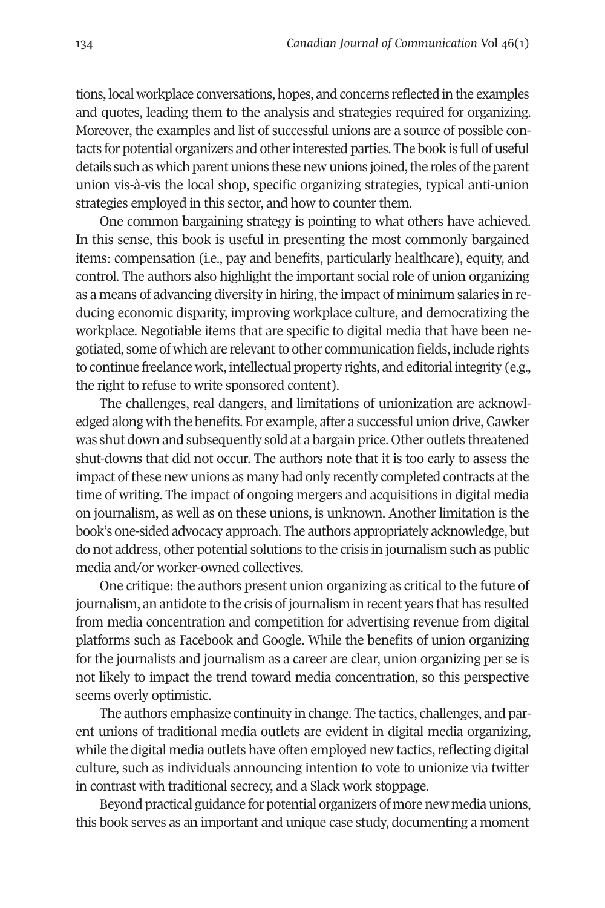tions, local workplace conversations, hopes, and concerns reflected in the examples and quotes, leading them to the analysis and strategies required for organizing. Moreover, the examples and list of successful unions are a source of possible contacts for potential organizers and other interested parties. The book is full of useful details such as which parent unions these new unions joined, the roles of the parent union vis-à-vis the local shop, specific organizing strategies, typical anti-union strategies employed in this sector, and how to counter them.

One common bargaining strategy is pointing to what others have achieved. In this sense, this book is useful in presenting the most commonly bargained items: compensation (i.e., pay and benefits, particularly healthcare), equity, and control. The authors also highlight the important social role of union organizing as a means of advancing diversity in hiring, the impact of minimum salaries in reducing economic disparity, improving workplace culture, and democratizing the workplace. Negotiable items that are specific to digital media that have been negotiated, some of which are relevant to other communication fields, include rights to continue freelance work, intellectual property rights, and editorial integrity (e.g., the right to refuse to write sponsored content).

The challenges, real dangers, and limitations of unionization are acknowledged along with the benefits. For example, after a successful union drive, Gawker was shut down and subsequently sold at a bargain price. Other outlets threatened shut-downs that did not occur. The authors note that it is too early to assess the impact of these new unions as many had only recently completed contracts at the time of writing. The impact of ongoing mergers and acquisitions in digital media on journalism, as well as on these unions, is unknown. Another limitation is the book's one-sided advocacy approach. The authors appropriately acknowledge, but do not address, other potential solutions to the crisis in journalism such as public media and/or worker-owned collectives.

One critique: the authors present union organizing as critical to the future of journalism, an antidote to the crisis of journalism in recent years that has resulted from media concentration and competition for advertising revenue from digital platforms such as Facebook and Google. While the benefits of union organizing for the journalists and journalism as a career are clear, union organizing per se is not likely to impact the trend toward media concentration, so this perspective seems overly optimistic.

The authors emphasize continuity in change. The tactics, challenges, and parent unions of traditional media outlets are evident in digital media organizing, while the digital media outlets have often employed new tactics, reflecting digital culture, such as individuals announcing intention to vote to unionize via twitter in contrast with traditional secrecy, and a Slack work stoppage.

Beyond practical guidance for potential organizers of more new media unions, this book serves as an important and unique case study, documenting a moment